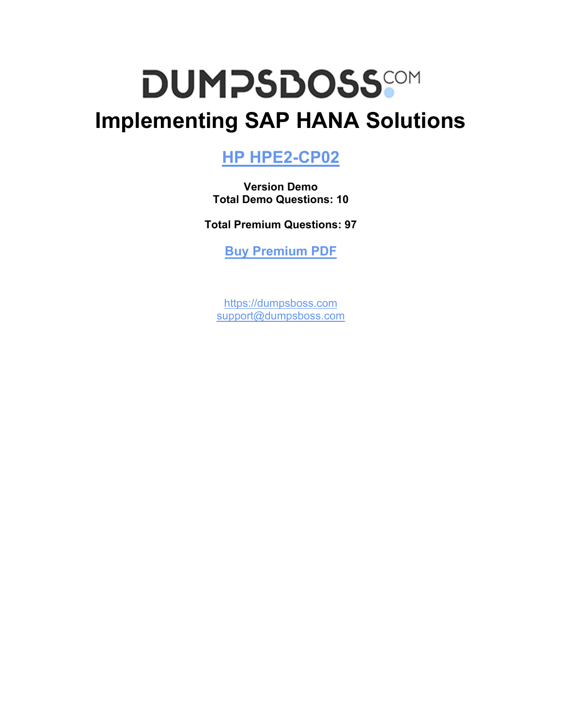# **DUMPSDOSS Implementing SAP HANA Solutions**

# **[HP HPE2-CP02](https://dumpsboss.com/hp-exam/hpe2-cp02/)**

**Version Demo Total Demo Questions: 10**

**Total Premium Questions: 97**

**[Buy Premium PDF](https://dumpsboss.com/hp-exam/hpe2-cp02/)**

[https://dumpsboss.com](https://dumpsboss.com/) [support@dumpsboss.com](mailto:support@dumpsboss.com)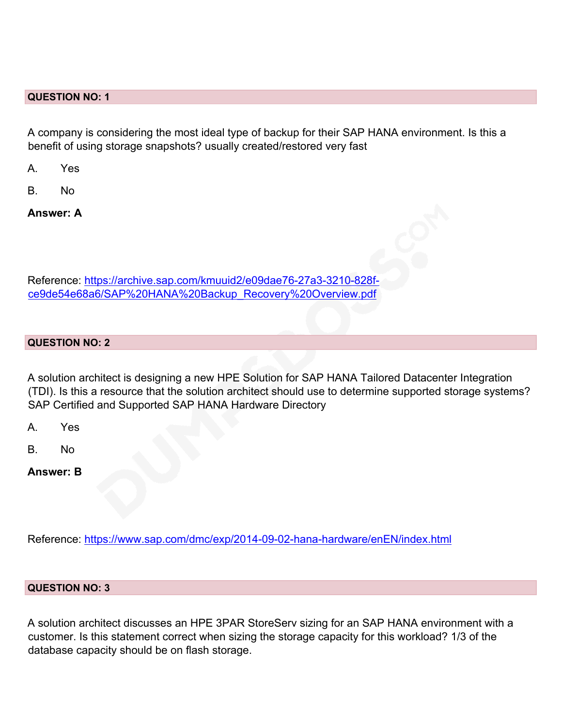## **QUESTION NO: 1**

A company is considering the most ideal type of backup for their SAP HANA environment. Is this a benefit of using storage snapshots? usually created/restored very fast

A. Yes

B. No

**Answer: A**

Reference: [https://archive.sap.com/kmuuid2/e09dae76-27a3-3210-828f](https://archive.sap.com/kmuuid2/e09dae76-27a3-3210-828f-ce9de54e68a6/SAP%2520HANA%2520Backup_Recovery%2520Overview.pdf)[ce9de54e68a6/SAP%20HANA%20Backup\\_Recovery%20Overview.pdf](https://archive.sap.com/kmuuid2/e09dae76-27a3-3210-828f-ce9de54e68a6/SAP%2520HANA%2520Backup_Recovery%2520Overview.pdf)

## **QUESTION NO: 2**

A solution architect is designing a new HPE Solution for SAP HANA Tailored Datacenter Integration (TDI). Is this a resource that the solution architect should use to determine supported storage systems? SAP Certified and Supported SAP HANA Hardware Directory

A. Yes

B. No

**Answer: B**

Reference:<https://www.sap.com/dmc/exp/2014-09-02-hana-hardware/enEN/index.html>

#### **QUESTION NO: 3**

A solution architect discusses an HPE 3PAR StoreServ sizing for an SAP HANA environment with a customer. Is this statement correct when sizing the storage capacity for this workload? 1/3 of the database capacity should be on flash storage.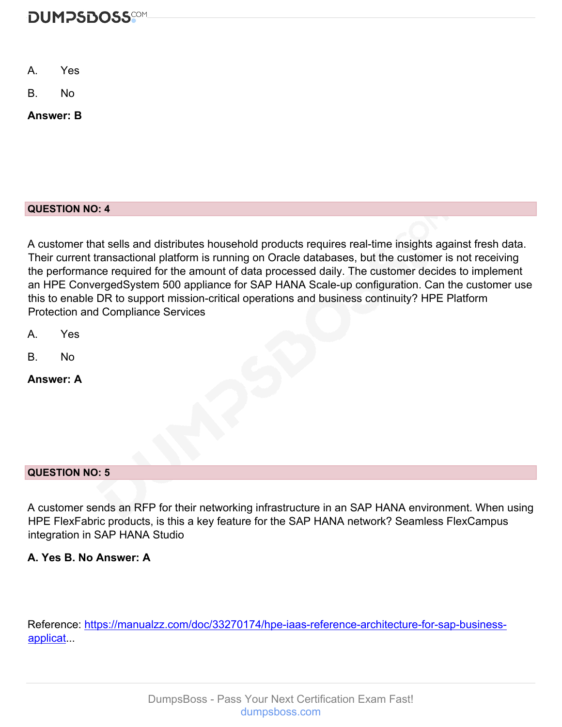# **DUMPSDOSS**COM

- A. Yes
- B. No

**Answer: B**

# **QUESTION NO: 4**

A customer that sells and distributes household products requires real-time insights against fresh data. Their current transactional platform is running on Oracle databases, but the customer is not receiving the performance required for the amount of data processed daily. The customer decides to implement an HPE ConvergedSystem 500 appliance for SAP HANA Scale-up configuration. Can the customer use this to enable DR to support mission-critical operations and business continuity? HPE Platform Protection and Compliance Services

- A. Yes
- B. No
- **Answer: A**

# **QUESTION NO: 5**

A customer sends an RFP for their networking infrastructure in an SAP HANA environment. When using HPE FlexFabric products, is this a key feature for the SAP HANA network? Seamless FlexCampus integration in SAP HANA Studio

# **A. Yes B. No Answer: A**

Reference: [https://manualzz.com/doc/33270174/hpe-iaas-reference-architecture-for-sap-business](https://manualzz.com/doc/33270174/hpe-iaas-reference-architecture-for-sap-business-applicat...)[applicat...](https://manualzz.com/doc/33270174/hpe-iaas-reference-architecture-for-sap-business-applicat...)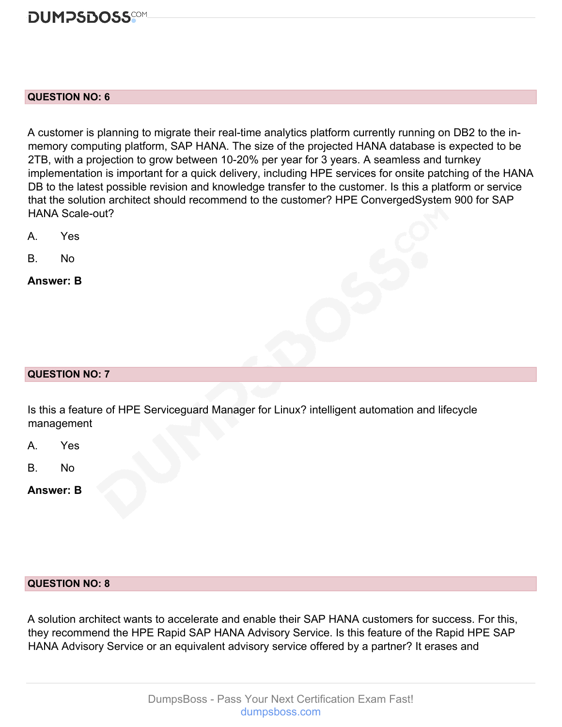# **DUMPSDOSS**COM

## **QUESTION NO: 6**

A customer is planning to migrate their real-time analytics platform currently running on DB2 to the inmemory computing platform, SAP HANA. The size of the projected HANA database is expected to be 2TB, with a projection to grow between 10-20% per year for 3 years. A seamless and turnkey implementation is important for a quick delivery, including HPE services for onsite patching of the HANA DB to the latest possible revision and knowledge transfer to the customer. Is this a platform or service that the solution architect should recommend to the customer? HPE ConvergedSystem 900 for SAP HANA Scale-out?

- A. Yes
- B. No

**Answer: B**

## **QUESTION NO: 7**

Is this a feature of HPE Serviceguard Manager for Linux? intelligent automation and lifecycle management

- A. Yes
- B. No
- **Answer: B**

## **QUESTION NO: 8**

A solution architect wants to accelerate and enable their SAP HANA customers for success. For this, they recommend the HPE Rapid SAP HANA Advisory Service. Is this feature of the Rapid HPE SAP HANA Advisory Service or an equivalent advisory service offered by a partner? It erases and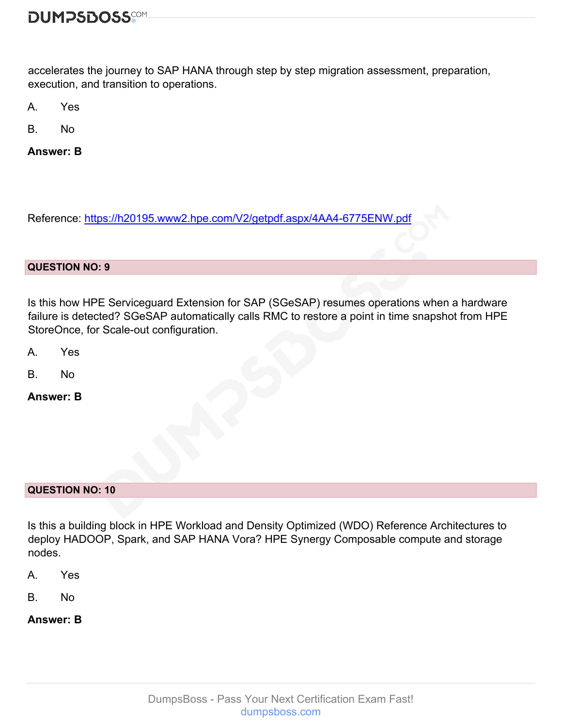accelerates the journey to SAP HANA through step by step migration assessment, preparation, execution, and transition to operations.

A. Yes

B. No

**Answer: B**

Reference:<https://h20195.www2.hpe.com/V2/getpdf.aspx/4AA4-6775ENW.pdf>

# **QUESTION NO: 9**

Is this how HPE Serviceguard Extension for SAP (SGeSAP) resumes operations when a hardware failure is detected? SGeSAP automatically calls RMC to restore a point in time snapshot from HPE StoreOnce, for Scale-out configuration.

- A. Yes
- B. No

**Answer: B**

## **QUESTION NO: 10**

Is this a building block in HPE Workload and Density Optimized (WDO) Reference Architectures to deploy HADOOP, Spark, and SAP HANA Vora? HPE Synergy Composable compute and storage nodes.

A. Yes

B. No

**Answer: B**